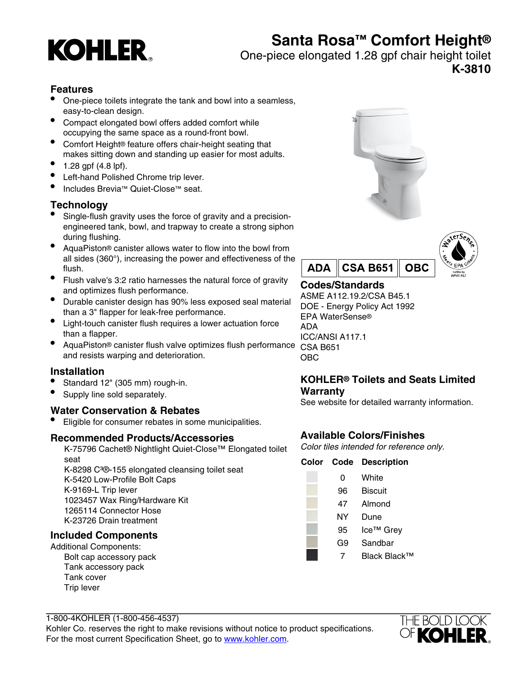# **KOHLER**

## **Santa Rosa™ Comfort Height®**

One-piece elongated 1.28 gpf chair height toilet

**K-3810**

#### **Features**

- One-piece toilets integrate the tank and bowl into a seamless, easy-to-clean design.
- Compact elongated bowl offers added comfort while occupying the same space as a round-front bowl.
- Comfort Height<sup>®</sup> feature offers chair-height seating that makes sitting down and standing up easier for most adults.
- 1.28 gpf (4.8 lpf).
- Left-hand Polished Chrome trip lever.
- Includes Brevia™ Quiet-Close™ seat.

#### **Technology**

- Single-flush gravity uses the force of gravity and a precisionengineered tank, bowl, and trapway to create a strong siphon during flushing.
- AquaPiston® canister allows water to flow into the bowl from all sides (360°), increasing the power and effectiveness of the flush.
- Flush valve's 3:2 ratio harnesses the natural force of gravity and optimizes flush performance.
- Durable canister design has 90% less exposed seal material than a 3" flapper for leak-free performance.
- Light-touch canister flush requires a lower actuation force than a flapper.
- AquaPiston® canister flush valve optimizes flush performance CSA B651 and resists warping and deterioration.

#### **Installation**

- Standard 12" (305 mm) rough-in.
- Supply line sold separately.

#### **Water Conservation & Rebates**

• Eligible for consumer rebates in some municipalities.

#### **Recommended Products/Accessories**

K-75796 Cachet® Nightlight Quiet-Close™ Elongated toilet seat K-8298 C<sup>3</sup>®-155 elongated cleansing toilet seat

K-5420 Low-Profile Bolt Caps K-9169-L Trip lever 1023457 Wax Ring/Hardware Kit 1265114 Connector Hose K-23726 Drain treatment

#### **Included Components**

Additional Components: Bolt cap accessory pack Tank accessory pack Tank cover Trip lever





#### **Codes/Standards**

ASME A112.19.2/CSA B45.1 DOE - Energy Policy Act 1992 EPA WaterSense® ADA ICC/ANSI A117.1 OBC

#### **KOHLER® Toilets and Seats Limited Warranty**

See website for detailed warranty information.

#### **Available Colors/Finishes**

Color tiles intended for reference only.

|    | <b>Color Code Description</b> |
|----|-------------------------------|
| 0  | White                         |
| 96 | Biscuit                       |
| 47 | Almond                        |
| ΝY | Dune                          |
| 95 | Ice <sup>™</sup> Grey         |
| G9 | Sandbar                       |
|    | Black Black™                  |

1-800-4KOHLER (1-800-456-4537) Kohler Co. reserves the right to make revisions without notice to product specifications. For the most current Specification Sheet, go to [www.kohler.com](http://www.kohler.com).